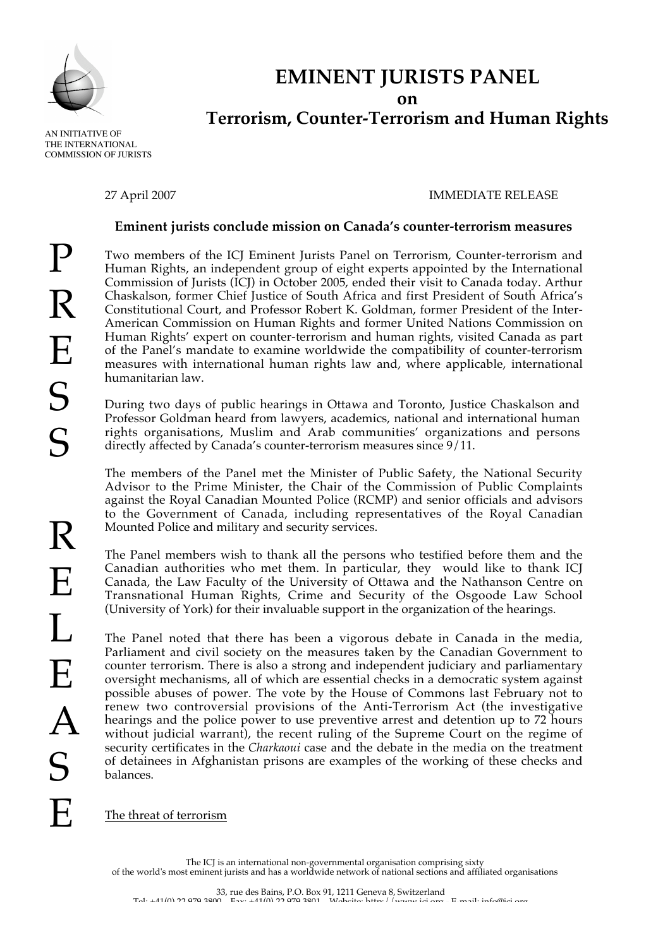

# **EMINENT JURISTS PANEL on Terrorism, Counter-Terrorism and Human Rights**

 AN INITIATIVE OF THE INTERNATIONAL COMMISSION OF JURISTS

# 27 April 2007 IMMEDIATE RELEASE

# **Eminent jurists conclude mission on Canada's counter-terrorism measures**

 $\mathbf P$ R E S S R E L E A S E

Two members of the ICJ Eminent Jurists Panel on Terrorism, Counter-terrorism and Human Rights, an independent group of eight experts appointed by the International Commission of Jurists (ICJ) in October 2005, ended their visit to Canada today. Arthur Chaskalson, former Chief Justice of South Africa and first President of South Africa's Constitutional Court, and Professor Robert K. Goldman, former President of the Inter-American Commission on Human Rights and former United Nations Commission on Human Rights' expert on counter-terrorism and human rights, visited Canada as part of the Panel's mandate to examine worldwide the compatibility of counter-terrorism measures with international human rights law and, where applicable, international humanitarian law.

During two days of public hearings in Ottawa and Toronto, Justice Chaskalson and Professor Goldman heard from lawyers, academics, national and international human rights organisations, Muslim and Arab communities' organizations and persons directly affected by Canada's counter-terrorism measures since 9/11.

The members of the Panel met the Minister of Public Safety, the National Security Advisor to the Prime Minister, the Chair of the Commission of Public Complaints against the Royal Canadian Mounted Police (RCMP) and senior officials and advisors to the Government of Canada, including representatives of the Royal Canadian Mounted Police and military and security services.

The Panel members wish to thank all the persons who testified before them and the Canadian authorities who met them. In particular, they would like to thank ICJ Canada, the Law Faculty of the University of Ottawa and the Nathanson Centre on Transnational Human Rights, Crime and Security of the Osgoode Law School (University of York) for their invaluable support in the organization of the hearings.

The Panel noted that there has been a vigorous debate in Canada in the media, Parliament and civil society on the measures taken by the Canadian Government to counter terrorism. There is also a strong and independent judiciary and parliamentary oversight mechanisms, all of which are essential checks in a democratic system against possible abuses of power. The vote by the House of Commons last February not to renew two controversial provisions of the Anti-Terrorism Act (the investigative hearings and the police power to use preventive arrest and detention up to 72 hours without judicial warrant), the recent ruling of the Supreme Court on the regime of security certificates in the *Charkaoui* case and the debate in the media on the treatment of detainees in Afghanistan prisons are examples of the working of these checks and balances.

The threat of terrorism

The ICJ is an international non-governmental organisation comprising sixty of the world's most eminent jurists and has a worldwide network of national sections and affiliated organisations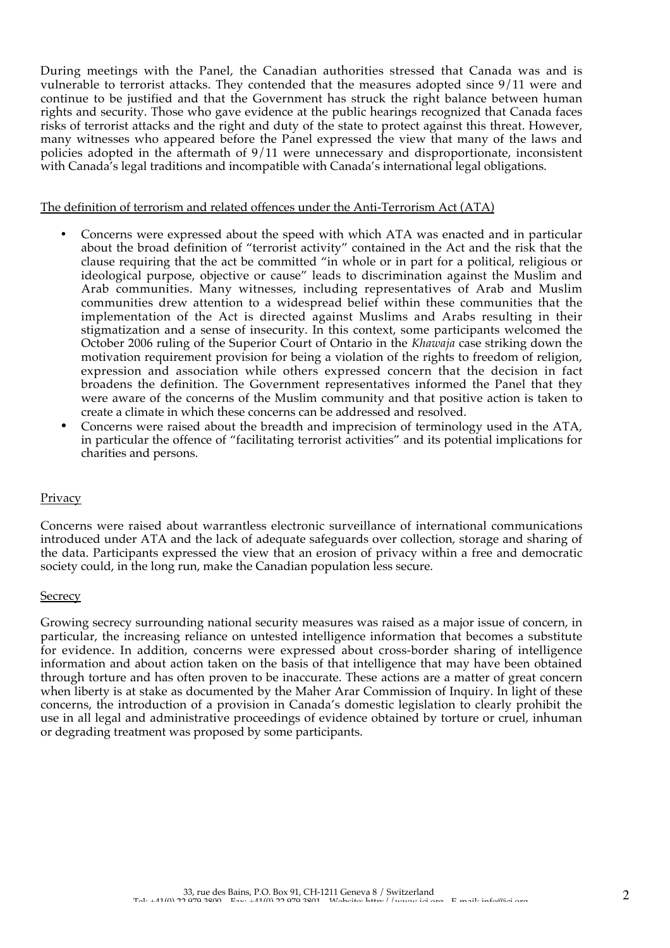During meetings with the Panel, the Canadian authorities stressed that Canada was and is vulnerable to terrorist attacks. They contended that the measures adopted since 9/11 were and continue to be justified and that the Government has struck the right balance between human rights and security. Those who gave evidence at the public hearings recognized that Canada faces risks of terrorist attacks and the right and duty of the state to protect against this threat. However, many witnesses who appeared before the Panel expressed the view that many of the laws and policies adopted in the aftermath of 9/11 were unnecessary and disproportionate, inconsistent with Canada's legal traditions and incompatible with Canada's international legal obligations.

#### The definition of terrorism and related offences under the Anti-Terrorism Act (ATA)

- Concerns were expressed about the speed with which ATA was enacted and in particular about the broad definition of "terrorist activity" contained in the Act and the risk that the clause requiring that the act be committed "in whole or in part for a political, religious or ideological purpose, objective or cause" leads to discrimination against the Muslim and Arab communities. Many witnesses, including representatives of Arab and Muslim communities drew attention to a widespread belief within these communities that the implementation of the Act is directed against Muslims and Arabs resulting in their stigmatization and a sense of insecurity. In this context, some participants welcomed the October 2006 ruling of the Superior Court of Ontario in the *Khawaja* case striking down the motivation requirement provision for being a violation of the rights to freedom of religion, expression and association while others expressed concern that the decision in fact broadens the definition. The Government representatives informed the Panel that they were aware of the concerns of the Muslim community and that positive action is taken to create a climate in which these concerns can be addressed and resolved.
- Concerns were raised about the breadth and imprecision of terminology used in the ATA, in particular the offence of "facilitating terrorist activities" and its potential implications for charities and persons.

#### **Privacy**

Concerns were raised about warrantless electronic surveillance of international communications introduced under ATA and the lack of adequate safeguards over collection, storage and sharing of the data. Participants expressed the view that an erosion of privacy within a free and democratic society could, in the long run, make the Canadian population less secure.

#### **Secrecy**

Growing secrecy surrounding national security measures was raised as a major issue of concern, in particular, the increasing reliance on untested intelligence information that becomes a substitute for evidence. In addition, concerns were expressed about cross-border sharing of intelligence information and about action taken on the basis of that intelligence that may have been obtained through torture and has often proven to be inaccurate. These actions are a matter of great concern when liberty is at stake as documented by the Maher Arar Commission of Inquiry. In light of these concerns, the introduction of a provision in Canada's domestic legislation to clearly prohibit the use in all legal and administrative proceedings of evidence obtained by torture or cruel, inhuman or degrading treatment was proposed by some participants.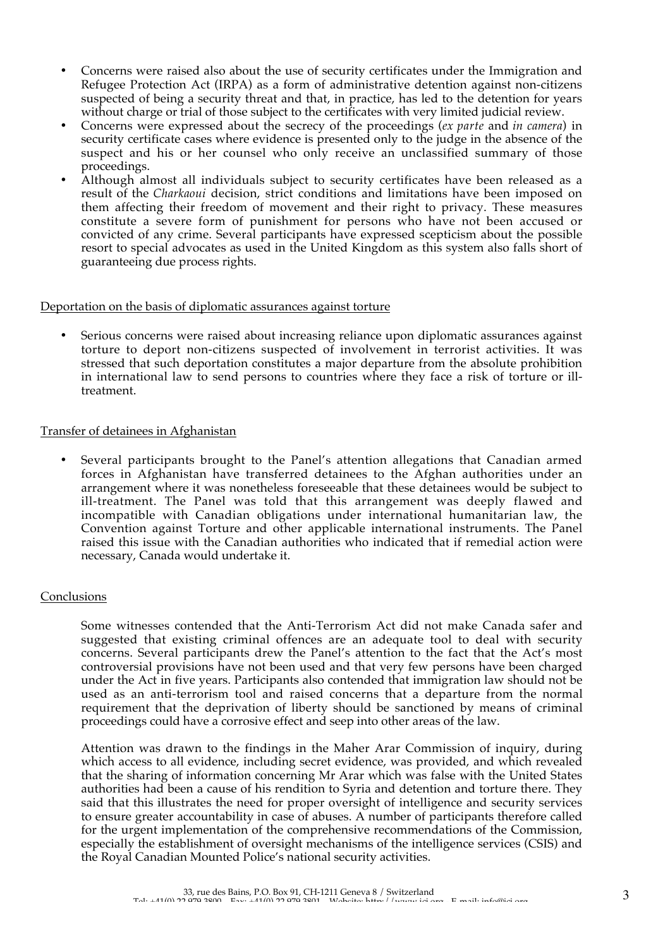- Concerns were raised also about the use of security certificates under the Immigration and Refugee Protection Act (IRPA) as a form of administrative detention against non-citizens suspected of being a security threat and that, in practice, has led to the detention for years without charge or trial of those subject to the certificates with very limited judicial review.
- Concerns were expressed about the secrecy of the proceedings (*ex parte* and *in camera*) in security certificate cases where evidence is presented only to the judge in the absence of the suspect and his or her counsel who only receive an unclassified summary of those proceedings.
- Although almost all individuals subject to security certificates have been released as a result of the *Charkaoui* decision, strict conditions and limitations have been imposed on them affecting their freedom of movement and their right to privacy. These measures constitute a severe form of punishment for persons who have not been accused or convicted of any crime. Several participants have expressed scepticism about the possible resort to special advocates as used in the United Kingdom as this system also falls short of guaranteeing due process rights.

#### Deportation on the basis of diplomatic assurances against torture

Serious concerns were raised about increasing reliance upon diplomatic assurances against torture to deport non-citizens suspected of involvement in terrorist activities. It was stressed that such deportation constitutes a major departure from the absolute prohibition in international law to send persons to countries where they face a risk of torture or illtreatment.

## Transfer of detainees in Afghanistan

• Several participants brought to the Panel's attention allegations that Canadian armed forces in Afghanistan have transferred detainees to the Afghan authorities under an arrangement where it was nonetheless foreseeable that these detainees would be subject to ill-treatment. The Panel was told that this arrangement was deeply flawed and incompatible with Canadian obligations under international humanitarian law, the Convention against Torture and other applicable international instruments. The Panel raised this issue with the Canadian authorities who indicated that if remedial action were necessary, Canada would undertake it.

#### Conclusions

Some witnesses contended that the Anti-Terrorism Act did not make Canada safer and suggested that existing criminal offences are an adequate tool to deal with security concerns. Several participants drew the Panel's attention to the fact that the Act's most controversial provisions have not been used and that very few persons have been charged under the Act in five years. Participants also contended that immigration law should not be used as an anti-terrorism tool and raised concerns that a departure from the normal requirement that the deprivation of liberty should be sanctioned by means of criminal proceedings could have a corrosive effect and seep into other areas of the law.

Attention was drawn to the findings in the Maher Arar Commission of inquiry, during which access to all evidence, including secret evidence, was provided, and which revealed that the sharing of information concerning Mr Arar which was false with the United States authorities had been a cause of his rendition to Syria and detention and torture there. They said that this illustrates the need for proper oversight of intelligence and security services to ensure greater accountability in case of abuses. A number of participants therefore called for the urgent implementation of the comprehensive recommendations of the Commission, especially the establishment of oversight mechanisms of the intelligence services (CSIS) and the Royal Canadian Mounted Police's national security activities.